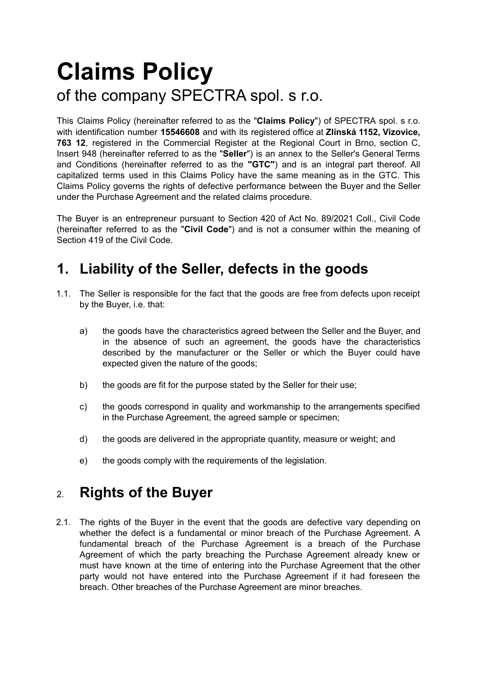## **Claims Policy** of the company SPECTRA spol. s r.o.

This Claims Policy (hereinafter referred to as the "**Claims Policy**") of SPECTRA spol. s r.o. with identification number **15546608** and with its registered office at **Zlínská 1152, Vizovice, 763 12**, registered in the Commercial Register at the Regional Court in Brno, section C, Insert 948 (hereinafter referred to as the "**Seller**") is an annex to the Seller's General Terms and Conditions (hereinafter referred to as the **"GTC"**) and is an integral part thereof. All capitalized terms used in this Claims Policy have the same meaning as in the GTC. This Claims Policy governs the rights of defective performance between the Buyer and the Seller under the Purchase Agreement and the related claims procedure.

The Buyer is an entrepreneur pursuant to Section 420 of Act No. 89/2021 Coll., Civil Code (hereinafter referred to as the "**Civil Code**") and is not a consumer within the meaning of Section 419 of the Civil Code.

## **1. Liability of the Seller, defects in the goods**

- 1.1. The Seller is responsible for the fact that the goods are free from defects upon receipt by the Buyer, i.e. that:
	- a) the goods have the characteristics agreed between the Seller and the Buyer, and in the absence of such an agreement, the goods have the characteristics described by the manufacturer or the Seller or which the Buyer could have expected given the nature of the goods;
	- b) the goods are fit for the purpose stated by the Seller for their use;
	- c) the goods correspond in quality and workmanship to the arrangements specified in the Purchase Agreement, the agreed sample or specimen;
	- d) the goods are delivered in the appropriate quantity, measure or weight; and
	- e) the goods comply with the requirements of the legislation.

## 2. **Rights of the Buyer**

2.1. The rights of the Buyer in the event that the goods are defective vary depending on whether the defect is a fundamental or minor breach of the Purchase Agreement. A fundamental breach of the Purchase Agreement is a breach of the Purchase Agreement of which the party breaching the Purchase Agreement already knew or must have known at the time of entering into the Purchase Agreement that the other party would not have entered into the Purchase Agreement if it had foreseen the breach. Other breaches of the Purchase Agreement are minor breaches.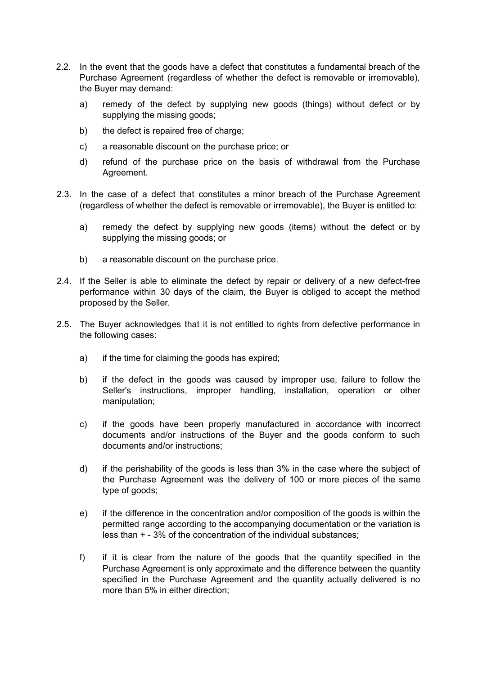- 2.2. In the event that the goods have a defect that constitutes a fundamental breach of the Purchase Agreement (regardless of whether the defect is removable or irremovable), the Buyer may demand:
	- a) remedy of the defect by supplying new goods (things) without defect or by supplying the missing goods;
	- b) the defect is repaired free of charge;
	- c) a reasonable discount on the purchase price; or
	- d) refund of the purchase price on the basis of withdrawal from the Purchase Agreement.
- 2.3. In the case of a defect that constitutes a minor breach of the Purchase Agreement (regardless of whether the defect is removable or irremovable), the Buyer is entitled to:
	- a) remedy the defect by supplying new goods (items) without the defect or by supplying the missing goods; or
	- b) a reasonable discount on the purchase price.
- 2.4. If the Seller is able to eliminate the defect by repair or delivery of a new defect-free performance within 30 days of the claim, the Buyer is obliged to accept the method proposed by the Seller.
- 2.5. The Buyer acknowledges that it is not entitled to rights from defective performance in the following cases:
	- a) if the time for claiming the goods has expired;
	- b) if the defect in the goods was caused by improper use, failure to follow the Seller's instructions, improper handling, installation, operation or other manipulation;
	- c) if the goods have been properly manufactured in accordance with incorrect documents and/or instructions of the Buyer and the goods conform to such documents and/or instructions;
	- d) if the perishability of the goods is less than 3% in the case where the subject of the Purchase Agreement was the delivery of 100 or more pieces of the same type of goods;
	- e) if the difference in the concentration and/or composition of the goods is within the permitted range according to the accompanying documentation or the variation is less than + - 3% of the concentration of the individual substances;
	- f) if it is clear from the nature of the goods that the quantity specified in the Purchase Agreement is only approximate and the difference between the quantity specified in the Purchase Agreement and the quantity actually delivered is no more than 5% in either direction;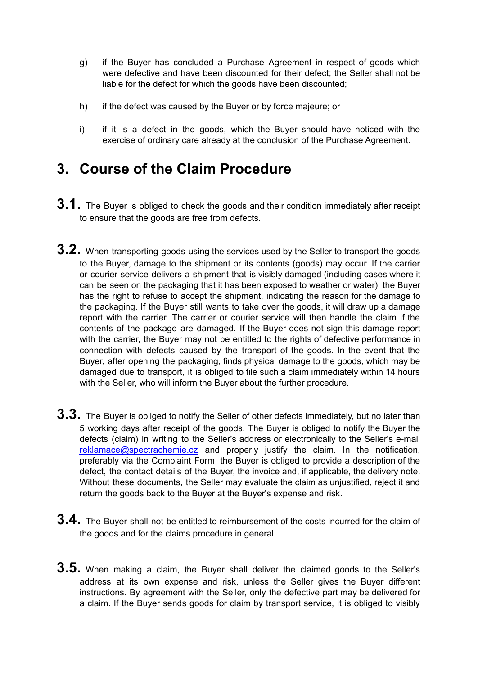- g) if the Buyer has concluded a Purchase Agreement in respect of goods which were defective and have been discounted for their defect; the Seller shall not be liable for the defect for which the goods have been discounted;
- h) if the defect was caused by the Buyer or by force majeure; or
- i) if it is a defect in the goods, which the Buyer should have noticed with the exercise of ordinary care already at the conclusion of the Purchase Agreement.

## **3. Course of the Claim Procedure**

- **3.1.** The Buyer is obliged to check the goods and their condition immediately after receipt to ensure that the goods are free from defects.
- **3.2.** When transporting goods using the services used by the Seller to transport the goods to the Buyer, damage to the shipment or its contents (goods) may occur. If the carrier or courier service delivers a shipment that is visibly damaged (including cases where it can be seen on the packaging that it has been exposed to weather or water), the Buyer has the right to refuse to accept the shipment, indicating the reason for the damage to the packaging. If the Buyer still wants to take over the goods, it will draw up a damage report with the carrier. The carrier or courier service will then handle the claim if the contents of the package are damaged. If the Buyer does not sign this damage report with the carrier, the Buyer may not be entitled to the rights of defective performance in connection with defects caused by the transport of the goods. In the event that the Buyer, after opening the packaging, finds physical damage to the goods, which may be damaged due to transport, it is obliged to file such a claim immediately within 14 hours with the Seller, who will inform the Buyer about the further procedure.
- **3.3.** The Buyer is obliged to notify the Seller of other defects immediately, but no later than 5 working days after receipt of the goods. The Buyer is obliged to notify the Buyer the defects (claim) in writing to the Seller's address or electronically to the Seller's e-mail [reklamace@spectrachemie.cz](mailto:reklamace@spectrachemie.cz) and properly justify the claim. In the notification, preferably via the Complaint Form, the Buyer is obliged to provide a description of the defect, the contact details of the Buyer, the invoice and, if applicable, the delivery note. Without these documents, the Seller may evaluate the claim as unjustified, reject it and return the goods back to the Buyer at the Buyer's expense and risk.
- **3.4.** The Buyer shall not be entitled to reimbursement of the costs incurred for the claim of the goods and for the claims procedure in general.
- **3.5.** When making <sup>a</sup> claim, the Buyer shall deliver the claimed goods to the Seller's address at its own expense and risk, unless the Seller gives the Buyer different instructions. By agreement with the Seller, only the defective part may be delivered for a claim. If the Buyer sends goods for claim by transport service, it is obliged to visibly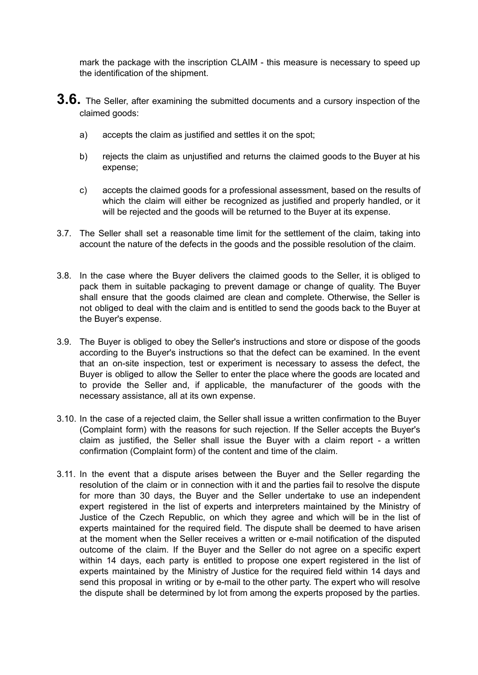mark the package with the inscription CLAIM - this measure is necessary to speed up the identification of the shipment.

- **3.6.** The Seller, after examining the submitted documents and <sup>a</sup> cursory inspection of the claimed goods:
	- a) accepts the claim as justified and settles it on the spot;
	- b) rejects the claim as unjustified and returns the claimed goods to the Buyer at his expense;
	- c) accepts the claimed goods for a professional assessment, based on the results of which the claim will either be recognized as justified and properly handled, or it will be rejected and the goods will be returned to the Buyer at its expense.
- 3.7. The Seller shall set a reasonable time limit for the settlement of the claim, taking into account the nature of the defects in the goods and the possible resolution of the claim.
- 3.8. In the case where the Buyer delivers the claimed goods to the Seller, it is obliged to pack them in suitable packaging to prevent damage or change of quality. The Buyer shall ensure that the goods claimed are clean and complete. Otherwise, the Seller is not obliged to deal with the claim and is entitled to send the goods back to the Buyer at the Buyer's expense.
- 3.9. The Buyer is obliged to obey the Seller's instructions and store or dispose of the goods according to the Buyer's instructions so that the defect can be examined. In the event that an on-site inspection, test or experiment is necessary to assess the defect, the Buyer is obliged to allow the Seller to enter the place where the goods are located and to provide the Seller and, if applicable, the manufacturer of the goods with the necessary assistance, all at its own expense.
- 3.10. In the case of a rejected claim, the Seller shall issue a written confirmation to the Buyer (Complaint form) with the reasons for such rejection. If the Seller accepts the Buyer's claim as justified, the Seller shall issue the Buyer with a claim report - a written confirmation (Complaint form) of the content and time of the claim.
- 3.11. In the event that a dispute arises between the Buyer and the Seller regarding the resolution of the claim or in connection with it and the parties fail to resolve the dispute for more than 30 days, the Buyer and the Seller undertake to use an independent expert registered in the list of experts and interpreters maintained by the Ministry of Justice of the Czech Republic, on which they agree and which will be in the list of experts maintained for the required field. The dispute shall be deemed to have arisen at the moment when the Seller receives a written or e-mail notification of the disputed outcome of the claim. If the Buyer and the Seller do not agree on a specific expert within 14 days, each party is entitled to propose one expert registered in the list of experts maintained by the Ministry of Justice for the required field within 14 days and send this proposal in writing or by e-mail to the other party. The expert who will resolve the dispute shall be determined by lot from among the experts proposed by the parties.